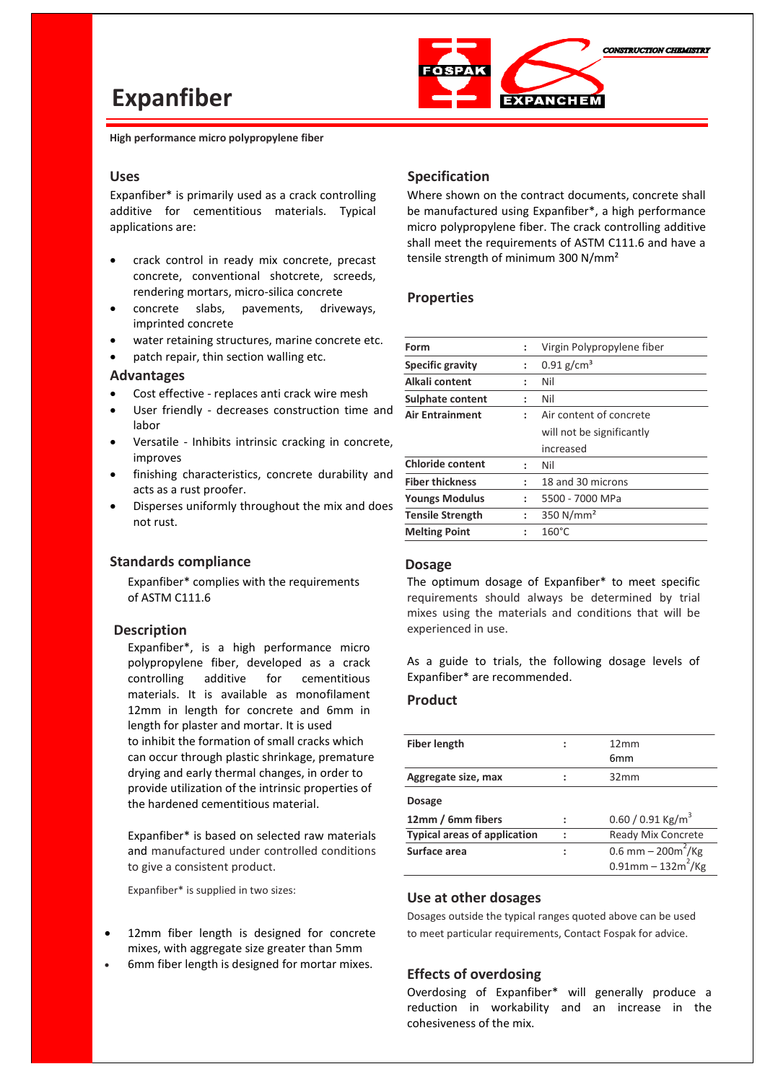# **Expanfiber**



 **High performance micro polypropylene fiber**

#### **Uses**

Expanfiber\* is primarily used as a crack controlling additive for cementitious materials. Typical applications are:

- crack control in ready mix concrete, precast concrete, conventional shotcrete, screeds, rendering mortars, micro-silica concrete
- concrete slabs, pavements, driveways, imprinted concrete
- water retaining structures, marine concrete etc.

patch repair, thin section walling etc.

#### **Advantages**

- Cost effective replaces anti crack wire mesh
- User friendly decreases construction time and labor
- Versatile Inhibits intrinsic cracking in concrete, improves
- finishing characteristics, concrete durability and acts as a rust proofer.
- Disperses uniformly throughout the mix and does not rust.

### **Standards compliance**

Expanfiber\* complies with the requirements of ASTM C111.6

#### **Description**

Expanfiber\*, is a high performance micro polypropylene fiber, developed as a crack controlling additive for cementitious materials. It is available as monofilament 12mm in length for concrete and 6mm in length for plaster and mortar. It is used to inhibit the formation of small cracks which can occur through plastic shrinkage, premature drying and early thermal changes, in order to provide utilization of the intrinsic properties of the hardened cementitious material.

Expanfiber\* is based on selected raw materials and manufactured under controlled conditions to give a consistent product.

Expanfiber\* is supplied in two sizes:

- 12mm fiber length is designed for concrete mixes, with aggregate size greater than 5mm
- 6mm fiber length is designed for mortar mixes.

#### **Specification**

Where shown on the contract documents, concrete shall be manufactured using Expanfiber\*, a high performance micro polypropylene fiber. The crack controlling additive shall meet the requirements of ASTM C111.6 and have a tensile strength of minimum 300 N/mm²

#### **Properties**

| Form                    | :                    | Virgin Polypropylene fiber |  |
|-------------------------|----------------------|----------------------------|--|
| <b>Specific gravity</b> | $\ddot{\phantom{0}}$ | $0.91$ g/cm <sup>3</sup>   |  |
| Alkali content          |                      | Nil                        |  |
| Sulphate content        | ÷                    | Nil                        |  |
| <b>Air Entrainment</b>  | ٠.                   | Air content of concrete    |  |
|                         |                      | will not be significantly  |  |
|                         |                      | increased                  |  |
| <b>Chloride content</b> | ÷                    | Nil                        |  |
| <b>Fiber thickness</b>  | ÷                    | 18 and 30 microns          |  |
| <b>Youngs Modulus</b>   | ÷                    | 5500 - 7000 MPa            |  |
| <b>Tensile Strength</b> | ÷                    | 350 $N/mm2$                |  |
| <b>Melting Point</b>    | ÷                    | $160^{\circ}$ C            |  |
|                         |                      |                            |  |

#### **Dosage**

The optimum dosage of Expanfiber\* to meet specific requirements should always be determined by trial mixes using the materials and conditions that will be experienced in use.

As a guide to trials, the following dosage levels of Expanfiber\* are recommended.

# **Product**

| <b>Fiber length</b>                 |   | 12mm<br>6 <sub>mm</sub>           |
|-------------------------------------|---|-----------------------------------|
| Aggregate size, max                 |   | 32mm                              |
| <b>Dosage</b>                       |   |                                   |
| 12mm / 6mm fibers                   | ÷ | $0.60 / 0.91$ Kg/m <sup>3</sup>   |
| <b>Typical areas of application</b> | : | Ready Mix Concrete                |
| Surface area                        |   | 0.6 mm $-$ 200m <sup>2</sup> /Kg  |
|                                     |   | $0.91$ mm – 132m <sup>2</sup> /Kg |
|                                     |   |                                   |

#### **Use at other dosages**

Dosages outside the typical ranges quoted above can be used to meet particular requirements, Contact Fospak for advice.

#### **Effects of overdosing**

Overdosing of Expanfiber\* will generally produce a reduction in workability and an increase in the cohesiveness of the mix.